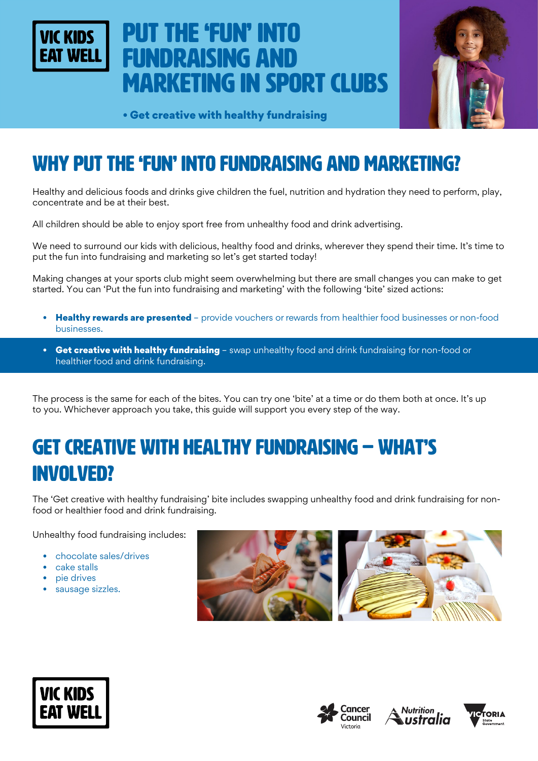

# Put the 'fun' into fundraising and marketing in sport clubs



• Get creative with healthy fundraising

## WHY put the 'fun' into fundraising and marketing?

Healthy and delicious foods and drinks give children the fuel, nutrition and hydration they need to perform, play, concentrate and be at their best.

All children should be able to enjoy sport free from unhealthy food and drink advertising.

We need to surround our kids with delicious, healthy food and drinks, wherever they spend their time. It's time to put the fun into fundraising and marketing so let's get started today!

Making changes at your sports club might seem overwhelming but there are small changes you can make to get started. You can 'Put the fun into fundraising and marketing' with the following 'bite' sized actions:

- Healthy rewards are presented provide vouchers or rewards from healthier food businesses or non-food businesses.
- Get creative with healthy fundraising swap unhealthy food and drink fundraising for non-food or healthier food and drink fundraising.

The process is the same for each of the bites. You can try one 'bite' at a time or do them both at once. It's up to you. Whichever approach you take, this guide will support you every step of the way.

## Get creative with healthy fundraising – WHAT'S INVOLVED?

The 'Get creative with healthy fundraising' bite includes swapping unhealthy food and drink fundraising for nonfood or healthier food and drink fundraising.

Unhealthy food fundraising includes:

- chocolate sales/drives
- cake stalls
- pie drives
- sausage sizzles.









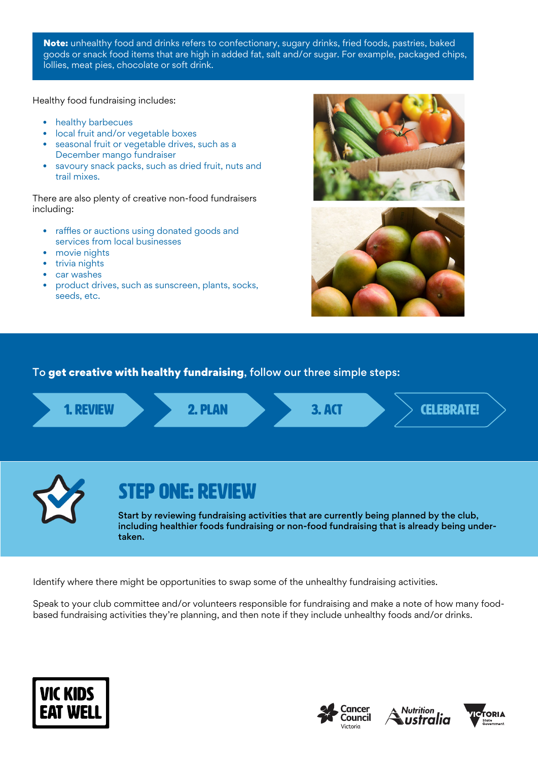Note: unhealthy food and drinks refers to confectionary, sugary drinks, fried foods, pastries, baked goods or snack food items that are high in added fat, salt and/or sugar. For example, packaged chips, lollies, meat pies, chocolate or soft drink.

Healthy food fundraising includes:

- healthy barbecues
- local fruit and/or vegetable boxes
- seasonal fruit or vegetable drives, such as a December mango fundraiser
- savoury snack packs, such as dried fruit, nuts and trail mixes.

There are also plenty of creative non-food fundraisers including:

- raffles or auctions using donated goods and services from local businesses
- movie nights
- trivia nights
- car washes
- product drives, such as sunscreen, plants, socks, seeds, etc.





#### To get creative with healthy fundraising, follow our three simple steps:



Identify where there might be opportunities to swap some of the unhealthy fundraising activities.

Speak to your club committee and/or volunteers responsible for fundraising and make a note of how many foodbased fundraising activities they're planning, and then note if they include unhealthy foods and/or drinks.







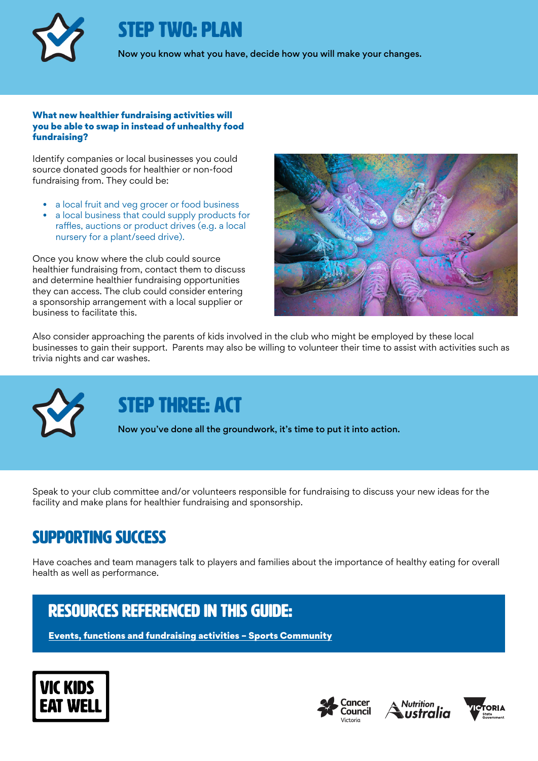

## STEP TWO: PLAN

Now you know what you have, decide how you will make your changes.

#### What new healthier fundraising activities will you be able to swap in instead of unhealthy food fundraising?

Identify companies or local businesses you could source donated goods for healthier or non-food fundraising from. They could be:

- a local fruit and veg grocer or food business
- a local business that could supply products for raffles, auctions or product drives (e.g. a local nursery for a plant/seed drive).

Once you know where the club could source healthier fundraising from, contact them to discuss and determine healthier fundraising opportunities they can access. The club could consider entering a sponsorship arrangement with a local supplier or business to facilitate this.



Also consider approaching the parents of kids involved in the club who might be employed by these local businesses to gain their support. Parents may also be willing to volunteer their time to assist with activities such as trivia nights and car washes.



## STEP THREE: ACT

Now you've done all the groundwork, it's time to put it into action.

Speak to your club committee and/or volunteers responsible for fundraising to discuss your new ideas for the facility and make plans for healthier fundraising and sponsorship.

### Supporting success

Have coaches and team managers talk to players and families about the importance of healthy eating for overall health as well as performance.

### rEsources referenced in this guide:

[Events, functions and fundraising activities – Sports Community](https://sportscommunity.com.au/fundraising-category/events-functions-and-fundraising-activities/)